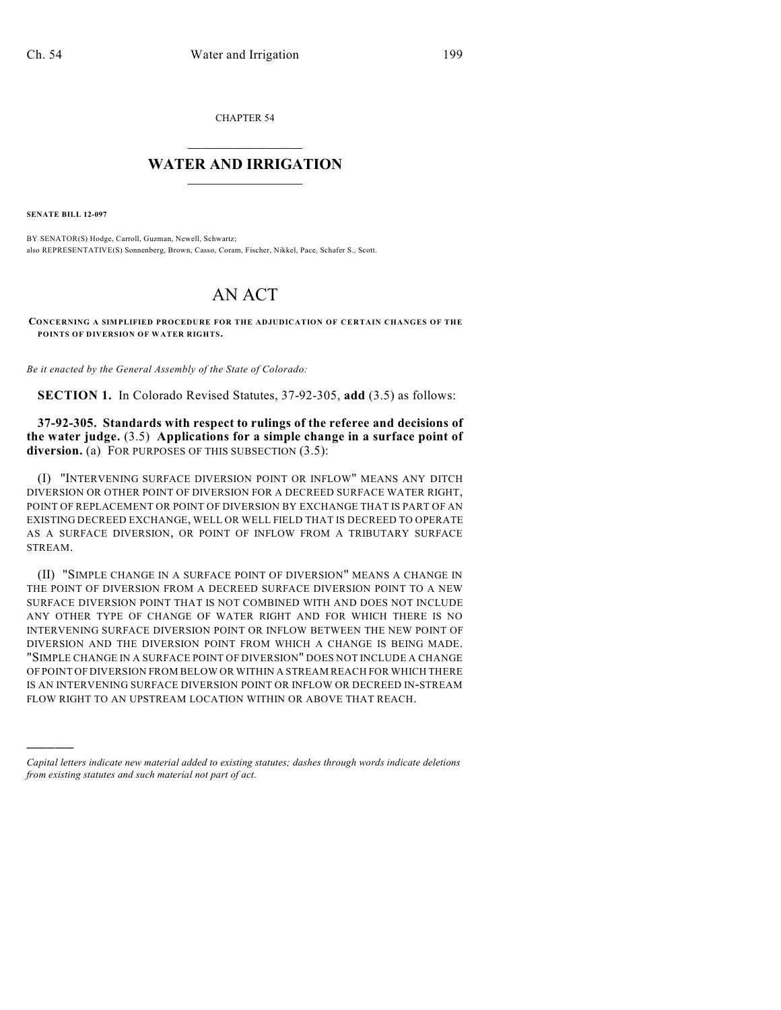CHAPTER 54

## $\mathcal{L}_\text{max}$  . The set of the set of the set of the set of the set of the set of the set of the set of the set of the set of the set of the set of the set of the set of the set of the set of the set of the set of the set **WATER AND IRRIGATION**  $\_$   $\_$

**SENATE BILL 12-097**

)))))

BY SENATOR(S) Hodge, Carroll, Guzman, Newell, Schwartz; also REPRESENTATIVE(S) Sonnenberg, Brown, Casso, Coram, Fischer, Nikkel, Pace, Schafer S., Scott.

## AN ACT

**CONCERNING A SIMPLIFIED PROCEDURE FOR THE ADJUDICATION OF CERTAIN CHANGES OF THE POINTS OF DIVERSION OF WATER RIGHTS.**

*Be it enacted by the General Assembly of the State of Colorado:*

**SECTION 1.** In Colorado Revised Statutes, 37-92-305, **add** (3.5) as follows:

**37-92-305. Standards with respect to rulings of the referee and decisions of the water judge.** (3.5) **Applications for a simple change in a surface point of** diversion. (a) FOR PURPOSES OF THIS SUBSECTION (3.5):

(I) "INTERVENING SURFACE DIVERSION POINT OR INFLOW" MEANS ANY DITCH DIVERSION OR OTHER POINT OF DIVERSION FOR A DECREED SURFACE WATER RIGHT, POINT OF REPLACEMENT OR POINT OF DIVERSION BY EXCHANGE THAT IS PART OF AN EXISTING DECREED EXCHANGE, WELL OR WELL FIELD THAT IS DECREED TO OPERATE AS A SURFACE DIVERSION, OR POINT OF INFLOW FROM A TRIBUTARY SURFACE STREAM.

(II) "SIMPLE CHANGE IN A SURFACE POINT OF DIVERSION" MEANS A CHANGE IN THE POINT OF DIVERSION FROM A DECREED SURFACE DIVERSION POINT TO A NEW SURFACE DIVERSION POINT THAT IS NOT COMBINED WITH AND DOES NOT INCLUDE ANY OTHER TYPE OF CHANGE OF WATER RIGHT AND FOR WHICH THERE IS NO INTERVENING SURFACE DIVERSION POINT OR INFLOW BETWEEN THE NEW POINT OF DIVERSION AND THE DIVERSION POINT FROM WHICH A CHANGE IS BEING MADE. "SIMPLE CHANGE IN A SURFACE POINT OF DIVERSION" DOES NOT INCLUDE A CHANGE OF POINT OF DIVERSION FROM BELOW OR WITHIN A STREAM REACH FOR WHICH THERE IS AN INTERVENING SURFACE DIVERSION POINT OR INFLOW OR DECREED IN-STREAM FLOW RIGHT TO AN UPSTREAM LOCATION WITHIN OR ABOVE THAT REACH.

*Capital letters indicate new material added to existing statutes; dashes through words indicate deletions from existing statutes and such material not part of act.*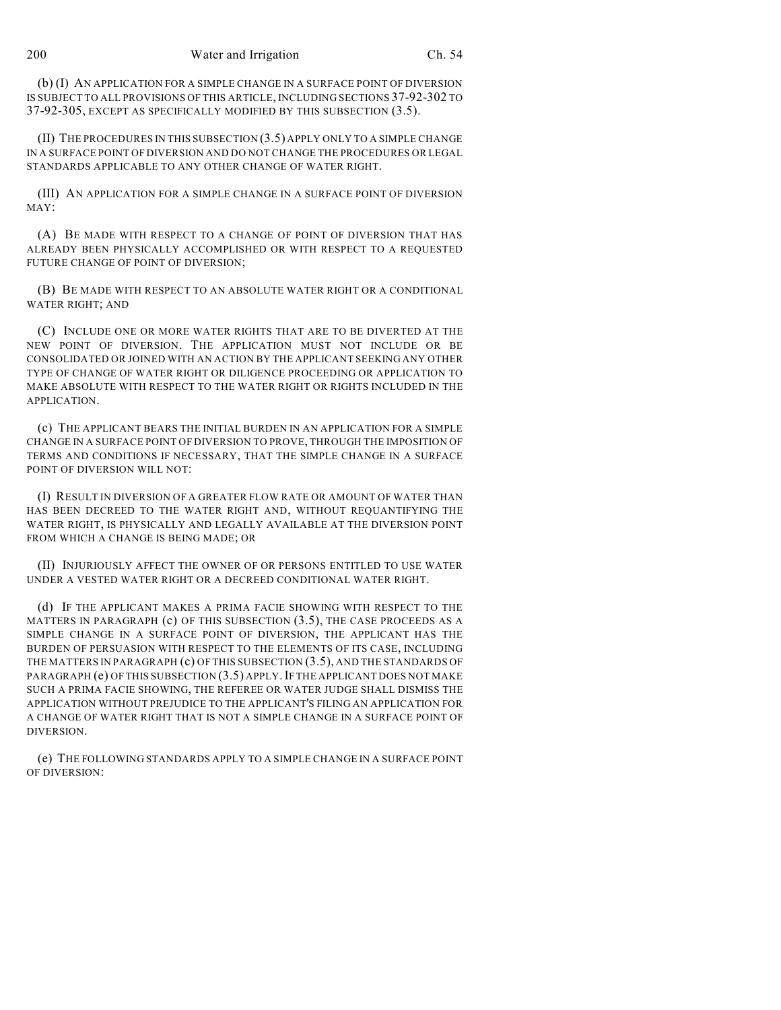(b) (I) AN APPLICATION FOR A SIMPLE CHANGE IN A SURFACE POINT OF DIVERSION IS SUBJECT TO ALL PROVISIONS OF THIS ARTICLE, INCLUDING SECTIONS 37-92-302 TO 37-92-305, EXCEPT AS SPECIFICALLY MODIFIED BY THIS SUBSECTION (3.5).

(II) THE PROCEDURES IN THIS SUBSECTION (3.5) APPLY ONLY TO A SIMPLE CHANGE IN A SURFACE POINT OF DIVERSION AND DO NOT CHANGE THE PROCEDURES OR LEGAL STANDARDS APPLICABLE TO ANY OTHER CHANGE OF WATER RIGHT.

(III) AN APPLICATION FOR A SIMPLE CHANGE IN A SURFACE POINT OF DIVERSION MAY:

(A) BE MADE WITH RESPECT TO A CHANGE OF POINT OF DIVERSION THAT HAS ALREADY BEEN PHYSICALLY ACCOMPLISHED OR WITH RESPECT TO A REQUESTED FUTURE CHANGE OF POINT OF DIVERSION;

(B) BE MADE WITH RESPECT TO AN ABSOLUTE WATER RIGHT OR A CONDITIONAL WATER RIGHT; AND

(C) INCLUDE ONE OR MORE WATER RIGHTS THAT ARE TO BE DIVERTED AT THE NEW POINT OF DIVERSION. THE APPLICATION MUST NOT INCLUDE OR BE CONSOLIDATED OR JOINED WITH AN ACTION BY THE APPLICANT SEEKING ANY OTHER TYPE OF CHANGE OF WATER RIGHT OR DILIGENCE PROCEEDING OR APPLICATION TO MAKE ABSOLUTE WITH RESPECT TO THE WATER RIGHT OR RIGHTS INCLUDED IN THE APPLICATION.

(c) THE APPLICANT BEARS THE INITIAL BURDEN IN AN APPLICATION FOR A SIMPLE CHANGE IN A SURFACE POINT OF DIVERSION TO PROVE, THROUGH THE IMPOSITION OF TERMS AND CONDITIONS IF NECESSARY, THAT THE SIMPLE CHANGE IN A SURFACE POINT OF DIVERSION WILL NOT:

(I) RESULT IN DIVERSION OF A GREATER FLOW RATE OR AMOUNT OF WATER THAN HAS BEEN DECREED TO THE WATER RIGHT AND, WITHOUT REQUANTIFYING THE WATER RIGHT, IS PHYSICALLY AND LEGALLY AVAILABLE AT THE DIVERSION POINT FROM WHICH A CHANGE IS BEING MADE; OR

(II) INJURIOUSLY AFFECT THE OWNER OF OR PERSONS ENTITLED TO USE WATER UNDER A VESTED WATER RIGHT OR A DECREED CONDITIONAL WATER RIGHT.

(d) IF THE APPLICANT MAKES A PRIMA FACIE SHOWING WITH RESPECT TO THE MATTERS IN PARAGRAPH (c) OF THIS SUBSECTION (3.5), THE CASE PROCEEDS AS A SIMPLE CHANGE IN A SURFACE POINT OF DIVERSION, THE APPLICANT HAS THE BURDEN OF PERSUASION WITH RESPECT TO THE ELEMENTS OF ITS CASE, INCLUDING THE MATTERS IN PARAGRAPH (c) OF THIS SUBSECTION (3.5), AND THE STANDARDS OF PARAGRAPH (e) OF THIS SUBSECTION (3.5) APPLY. IF THE APPLICANT DOES NOT MAKE SUCH A PRIMA FACIE SHOWING, THE REFEREE OR WATER JUDGE SHALL DISMISS THE APPLICATION WITHOUT PREJUDICE TO THE APPLICANT'S FILING AN APPLICATION FOR A CHANGE OF WATER RIGHT THAT IS NOT A SIMPLE CHANGE IN A SURFACE POINT OF DIVERSION.

(e) THE FOLLOWING STANDARDS APPLY TO A SIMPLE CHANGE IN A SURFACE POINT OF DIVERSION: